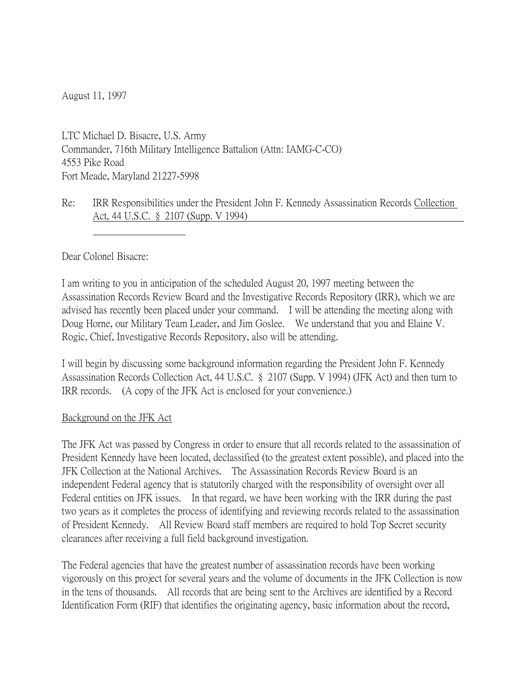August 11, 1997

LTC Michael D. Bisacre, U.S. Army Commander, 716th Military Intelligence Battalion (Attn: IAMG-C-CO) 4553 Pike Road Fort Meade, Maryland 21227-5998

### Re: IRR Responsibilities under the President John F. Kennedy Assassination Records Collection Act, 44 U.S.C. § 2107 (Supp. V 1994)

Dear Colonel Bisacre:

I am writing to you in anticipation of the scheduled August 20, 1997 meeting between the Assassination Records Review Board and the Investigative Records Repository (IRR), which we are advised has recently been placed under your command. I will be attending the meeting along with Doug Horne, our Military Team Leader, and Jim Goslee. We understand that you and Elaine V. Rogic, Chief, Investigative Records Repository, also will be attending.

I will begin by discussing some background information regarding the President John F. Kennedy Assassination Records Collection Act, 44 U.S.C. § 2107 (Supp. V 1994) (JFK Act) and then turn to IRR records. (A copy of the JFK Act is enclosed for your convenience.)

#### Background on the JFK Act

The JFK Act was passed by Congress in order to ensure that all records related to the assassination of President Kennedy have been located, declassified (to the greatest extent possible), and placed into the JFK Collection at the National Archives. The Assassination Records Review Board is an independent Federal agency that is statutorily charged with the responsibility of oversight over all Federal entities on JFK issues. In that regard, we have been working with the IRR during the past two years as it completes the process of identifying and reviewing records related to the assassination of President Kennedy. All Review Board staff members are required to hold Top Secret security clearances after receiving a full field background investigation.

The Federal agencies that have the greatest number of assassination records have been working vigorously on this project for several years and the volume of documents in the JFK Collection is now in the tens of thousands. All records that are being sent to the Archives are identified by a Record Identification Form (RIF) that identifies the originating agency, basic information about the record,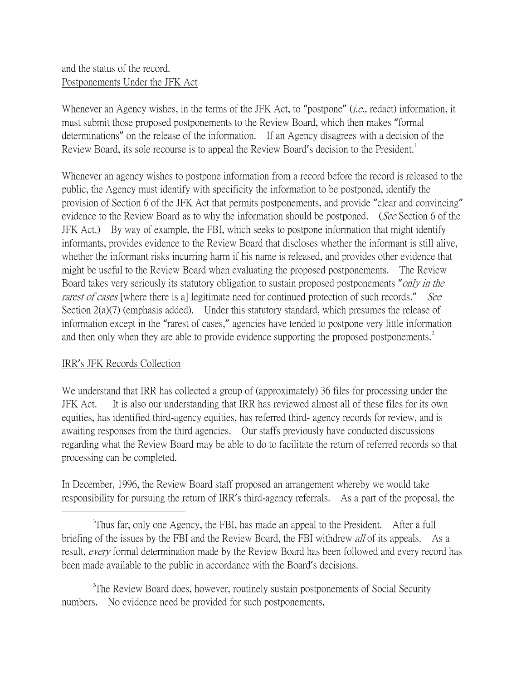## and the status of the record. Postponements Under the JFK Act

Whenever an Agency wishes, in the terms of the JFK Act, to "postpone" (*i.e.*, redact) information, it must submit those proposed postponements to the Review Board, which then makes "formal determinations" on the release of the information. If an Agency disagrees with a decision of the Review Board, its sole recourse is to appeal the Review Board's decision to the President.<sup>[1](#page-1-0)</sup>

Whenever an agency wishes to postpone information from a record before the record is released to the public, the Agency must identify with specificity the information to be postponed, identify the provision of Section 6 of the JFK Act that permits postponements, and provide "clear and convincing" evidence to the Review Board as to why the information should be postponed. (See Section 6 of the JFK Act.) By way of example, the FBI, which seeks to postpone information that might identify informants, provides evidence to the Review Board that discloses whether the informant is still alive, whether the informant risks incurring harm if his name is released, and provides other evidence that might be useful to the Review Board when evaluating the proposed postponements. The Review Board takes very seriously its statutory obligation to sustain proposed postponements "*only in the* rarest of cases [where there is a] legitimate need for continued protection of such records." See Section 2(a)(7) (emphasis added). Under this statutory standard, which presumes the release of information except in the "rarest of cases," agencies have tended to postpone very little information and then only when they are able to provide evidence supporting the proposed postponements.<sup>[2](#page-1-1)</sup>

# IRR's JFK Records Collection

We understand that IRR has collected a group of (approximately) 36 files for processing under the JFK Act. It is also our understanding that IRR has reviewed almost all of these files for its own equities, has identified third-agency equities, has referred third- agency records for review, and is awaiting responses from the third agencies. Our staffs previously have conducted discussions regarding what the Review Board may be able to do to facilitate the return of referred records so that processing can be completed.

In December, 1996, the Review Board staff proposed an arrangement whereby we would take responsibility for pursuing the return of IRR's third-agency referrals. As a part of the proposal, the

<span id="page-1-1"></span><sup>2</sup>The Review Board does, however, routinely sustain postponements of Social Security numbers. No evidence need be provided for such postponements.

<span id="page-1-0"></span> $\overline{\phantom{a}}$ Thus far, only one Agency, the FBI, has made an appeal to the President. After a full briefing of the issues by the FBI and the Review Board, the FBI withdrew *all* of its appeals. As a result, *every* formal determination made by the Review Board has been followed and every record has been made available to the public in accordance with the Board's decisions.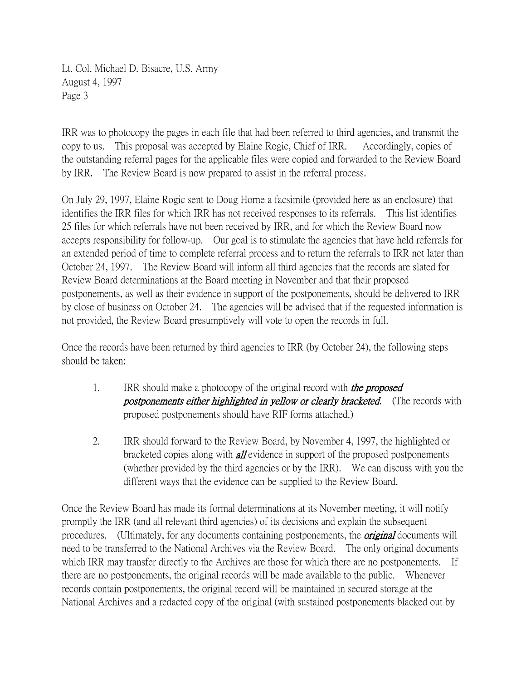Lt. Col. Michael D. Bisacre, U.S. Army August 4, 1997 Page 3

IRR was to photocopy the pages in each file that had been referred to third agencies, and transmit the copy to us. This proposal was accepted by Elaine Rogic, Chief of IRR. Accordingly, copies of the outstanding referral pages for the applicable files were copied and forwarded to the Review Board by IRR. The Review Board is now prepared to assist in the referral process.

On July 29, 1997, Elaine Rogic sent to Doug Horne a facsimile (provided here as an enclosure) that identifies the IRR files for which IRR has not received responses to its referrals. This list identifies 25 files for which referrals have not been received by IRR, and for which the Review Board now accepts responsibility for follow-up. Our goal is to stimulate the agencies that have held referrals for an extended period of time to complete referral process and to return the referrals to IRR not later than October 24, 1997. The Review Board will inform all third agencies that the records are slated for Review Board determinations at the Board meeting in November and that their proposed postponements, as well as their evidence in support of the postponements, should be delivered to IRR by close of business on October 24. The agencies will be advised that if the requested information is not provided, the Review Board presumptively will vote to open the records in full.

Once the records have been returned by third agencies to IRR (by October 24), the following steps should be taken:

- 1. IRR should make a photocopy of the original record with *the proposed* **postponements either highlighted in yellow or clearly bracketed.** (The records with proposed postponements should have RIF forms attached.)
- 2. IRR should forward to the Review Board, by November 4, 1997, the highlighted or bracketed copies along with **all** evidence in support of the proposed postponements (whether provided by the third agencies or by the IRR). We can discuss with you the different ways that the evidence can be supplied to the Review Board.

Once the Review Board has made its formal determinations at its November meeting, it will notify promptly the IRR (and all relevant third agencies) of its decisions and explain the subsequent procedures. (Ultimately, for any documents containing postponements, the *original* documents will need to be transferred to the National Archives via the Review Board. The only original documents which IRR may transfer directly to the Archives are those for which there are no postponements. If there are no postponements, the original records will be made available to the public. Whenever records contain postponements, the original record will be maintained in secured storage at the National Archives and a redacted copy of the original (with sustained postponements blacked out by